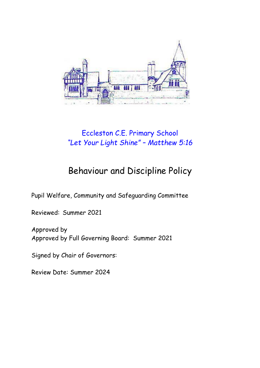

# Eccleston C.E. Primary School *"Let Your Light Shine" – Matthew 5:16*

# Behaviour and Discipline Policy

Pupil Welfare, Community and Safeguarding Committee

Reviewed: Summer 2021

Approved by Approved by Full Governing Board: Summer 2021

Signed by Chair of Governors:

Review Date: Summer 2024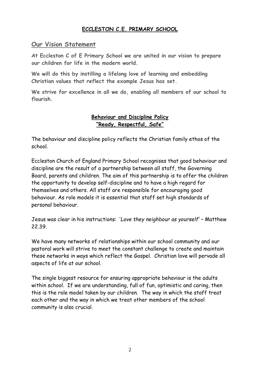# **ECCLESTON C.E. PRIMARY SCHOOL**

# **Our Vision Statement**

**At Eccleston C of E Primary School we are united in our vision to prepare our children for life in the modern world.**

**We will do this by instilling a lifelong love of learning and embedding Christian values that reflect the example Jesus has set.**

**We strive for excellence in all we do, enabling all members of our school to flourish.**

### **Behaviour and Discipline Policy "Ready, Respectful, Safe"**

The behaviour and discipline policy reflects the Christian family ethos of the school.

Eccleston Church of England Primary School recognises that good behaviour and discipline are the result of a partnership between all staff, the Governing Board, parents and children. The aim of this partnership is to offer the children the opportunity to develop self-discipline and to have a high regard for themselves and others. All staff are responsible for encouraging good behaviour. As role models it is essential that staff set high standards of personal behaviour.

Jesus was clear in his instructions: '*Love they neighbour as yourself'* – Matthew 22.39.

We have many networks of relationships within our school community and our pastoral work will strive to meet the constant challenge to create and maintain these networks in ways which reflect the Gospel. Christian love will pervade all aspects of life at our school.

The single biggest resource for ensuring appropriate behaviour is the adults within school. If we are understanding, full of fun, optimistic and caring, then this is the role model taken by our children. The way in which the staff treat each other and the way in which we treat other members of the school community is also crucial.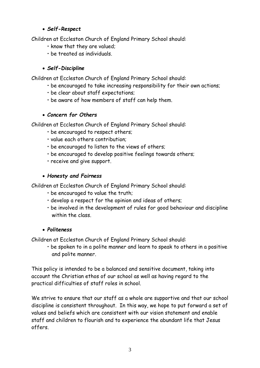# *Self-Respect*

Children at Eccleston Church of England Primary School should:

- know that they are valued;
- be treated as individuals.

# *Self-Discipline*

Children at Eccleston Church of England Primary School should:

- be encouraged to take increasing responsibility for their own actions;
- be clear about staff expectations;
- be aware of how members of staff can help them.

# *Concern for Others*

Children at Eccleston Church of England Primary School should:

- be encouraged to respect others;
- value each others contribution;
- be encouraged to listen to the views of others;
- be encouraged to develop positive feelings towards others;
- receive and give support.

# *Honesty and Fairness*

Children at Eccleston Church of England Primary School should:

- be encouraged to value the truth;
- develop a respect for the opinion and ideas of others;
- be involved in the development of rules for good behaviour and discipline within the class.

# *Politeness*

Children at Eccleston Church of England Primary School should:

• be spoken to in a polite manner and learn to speak to others in a positive and polite manner.

This policy is intended to be a balanced and sensitive document, taking into account the Christian ethos of our school as well as having regard to the practical difficulties of staff roles in school.

We strive to ensure that our staff as a whole are supportive and that our school discipline is consistent throughout. In this way, we hope to put forward a set of values and beliefs which are consistent with our vision statement and enable staff and children to flourish and to experience the abundant life that Jesus offers.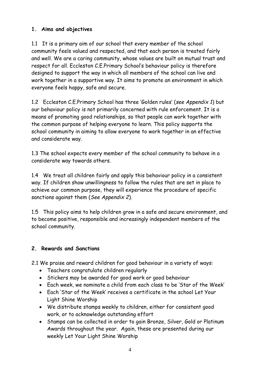# **1. Aims and objectives**

1.1 It is a primary aim of our school that every member of the school community feels valued and respected, and that each person is treated fairly and well. We are a caring community, whose values are built on mutual trust and respect for all. Eccleston C.E.Primary School's behaviour policy is therefore designed to support the way in which all members of the school can live and work together in a supportive way. It aims to promote an environment in which everyone feels happy, safe and secure.

1.2 Eccleston C.E.Primary School has three 'Golden rules' (*see Appendix 1*) but our behaviour policy is not primarily concerned with rule enforcement. It is a means of promoting good relationships, so that people can work together with the common purpose of helping everyone to learn. This policy supports the school community in aiming to allow everyone to work together in an effective and considerate way.

1.3 The school expects every member of the school community to behave in a considerate way towards others.

1.4 We treat all children fairly and apply this behaviour policy in a consistent way. If children show unwillingness to follow the rules that are set in place to achieve our common purpose, they will experience the procedure of specific sanctions against them (*See Appendix 2*).

1.5 This policy aims to help children grow in a safe and secure environment, and to become positive, responsible and increasingly independent members of the school community.

# **2. Rewards and Sanctions**

2.1 We praise and reward children for good behaviour in a variety of ways:

- Teachers congratulate children regularly
- Stickers may be awarded for good work or good behaviour
- Each week, we nominate a child from each class to be 'Star of the Week'
- Each 'Star of the Week' receives a certificate in the school Let Your Light Shine Worship
- We distribute stamps weekly to children, either for consistent good work, or to acknowledge outstanding effort
- Stamps can be collected in order to gain Bronze, Silver, Gold or Platinum Awards throughout the year. Again, these are presented during our weekly Let Your Light Shine Worship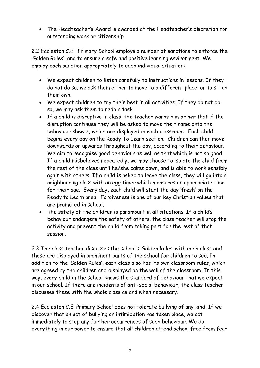The Headteacher's Award is awarded at the Headteacher's discretion for outstanding work or citizenship

2.2 Eccleston C.E. Primary School employs a number of sanctions to enforce the 'Golden Rules', and to ensure a safe and positive learning environment. We employ each sanction appropriately to each individual situation:

- We expect children to listen carefully to instructions in lessons. If they do not do so, we ask them either to move to a different place, or to sit on their own.
- We expect children to try their best in all activities. If they do not do so, we may ask them to redo a task.
- If a child is disruptive in class, the teacher warns him or her that if the disruption continues they will be asked to move their name onto the behaviour sheets, which are displayed in each classroom. Each child begins every day on the Ready To Learn section. Children can then move downwards or upwards throughout the day, according to their behaviour. We aim to recognise good behaviour as well as that which is not so good. If a child misbehaves repeatedly, we may choose to isolate the child from the rest of the class until he/she calms down, and is able to work sensibly again with others. If a child is asked to leave the class, they will go into a neighbouring class with an egg timer which measures an appropriate time for their age. Every day, each child will start the day 'fresh' on the Ready to Learn area. Forgiveness is one of our key Christian values that are promoted in school.
- The safety of the children is paramount in all situations. If a child's behaviour endangers the safety of others, the class teacher will stop the activity and prevent the child from taking part for the rest of that session.

2.3 The class teacher discusses the school's 'Golden Rules' with each class and these are displayed in prominent parts of the school for children to see. In addition to the 'Golden Rules', each class also has its own classroom rules, which are agreed by the children and displayed on the wall of the classroom. In this way, every child in the school knows the standard of behaviour that we expect in our school. If there are incidents of anti-social behaviour, the class teacher discusses these with the whole class as and when necessary.

2.4 Eccleston C.E. Primary School does not tolerate bullying of any kind. If we discover that an act of bullying or intimidation has taken place, we act immediately to stop any further occurrences of such behaviour. We do everything in our power to ensure that all children attend school free from fear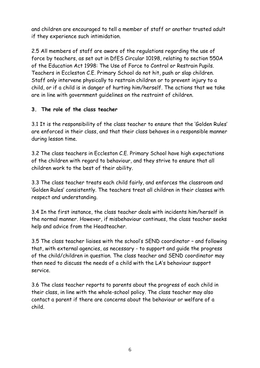and children are encouraged to tell a member of staff or another trusted adult if they experience such intimidation.

2.5 All members of staff are aware of the regulations regarding the use of force by teachers, as set out in DfES Circular 10198, relating to section 550A of the Education Act 1998: The Use of Force to Control or Restrain Pupils. Teachers in Eccleston C.E. Primary School do not hit, push or slap children. Staff only intervene physically to restrain children or to prevent injury to a child, or if a child is in danger of hurting him/herself. The actions that we take are in line with government guidelines on the restraint of children.

# **3. The role of the class teacher**

3.1 It is the responsibility of the class teacher to ensure that the 'Golden Rules' are enforced in their class, and that their class behaves in a responsible manner during lesson time.

3.2 The class teachers in Eccleston C.E. Primary School have high expectations of the children with regard to behaviour, and they strive to ensure that all children work to the best of their ability.

3.3 The class teacher treats each child fairly, and enforces the classroom and 'Golden Rules' consistently. The teachers treat all children in their classes with respect and understanding.

3.4 In the first instance, the class teacher deals with incidents him/herself in the normal manner. However, if misbehaviour continues, the class teacher seeks help and advice from the Headteacher.

3.5 The class teacher liaises with the school's SEND coordinator – and following that, with external agencies, as necessary - to support and guide the progress of the child/children in question. The class teacher and SEND coordinator may then need to discuss the needs of a child with the LA's behaviour support service.

3.6 The class teacher reports to parents about the progress of each child in their class, in line with the whole-school policy. The class teacher may also contact a parent if there are concerns about the behaviour or welfare of a child.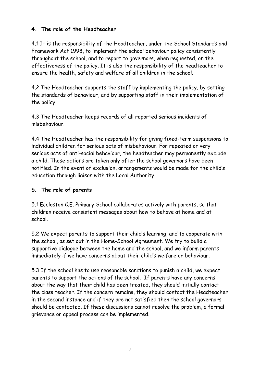# **4. The role of the Headteacher**

4.1 It is the responsibility of the Headteacher, under the School Standards and Framework Act 1998, to implement the school behaviour policy consistently throughout the school, and to report to governors, when requested, on the effectiveness of the policy. It is also the responsibility of the headteacher to ensure the health, safety and welfare of all children in the school.

4.2 The Headteacher supports the staff by implementing the policy, by setting the standards of behaviour, and by supporting staff in their implementation of the policy.

4.3 The Headteacher keeps records of all reported serious incidents of misbehaviour.

4.4 The Headteacher has the responsibility for giving fixed-term suspensions to individual children for serious acts of misbehaviour. For repeated or very serious acts of anti-social behaviour, the headteacher may permanently exclude a child. These actions are taken only after the school governors have been notified. In the event of exclusion, arrangements would be made for the child's education through liaison with the Local Authority.

# **5. The role of parents**

5.1 Eccleston C.E. Primary School collaborates actively with parents, so that children receive consistent messages about how to behave at home and at school.

5.2 We expect parents to support their child's learning, and to cooperate with the school, as set out in the Home-School Agreement. We try to build a supportive dialogue between the home and the school, and we inform parents immediately if we have concerns about their child's welfare or behaviour.

5.3 If the school has to use reasonable sanctions to punish a child, we expect parents to support the actions of the school. If parents have any concerns about the way that their child has been treated, they should initially contact the class teacher. If the concern remains, they should contact the Headteacher in the second instance and if they are not satisfied then the school governors should be contacted. If these discussions cannot resolve the problem, a formal grievance or appeal process can be implemented.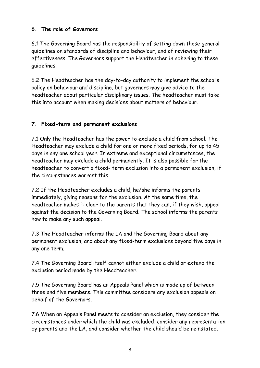# **6. The role of Governors**

6.1 The Governing Board has the responsibility of setting down these general guidelines on standards of discipline and behaviour, and of reviewing their effectiveness. The Governors support the Headteacher in adhering to these guidelines.

6.2 The Headteacher has the day-to-day authority to implement the school's policy on behaviour and discipline, but governors may give advice to the headteacher about particular disciplinary issues. The headteacher must take this into account when making decisions about matters of behaviour.

# **7. Fixed-term and permanent exclusions**

7.1 Only the Headteacher has the power to exclude a child from school. The Headteacher may exclude a child for one or more fixed periods, for up to 45 days in any one school year. In extreme and exceptional circumstances, the headteacher may exclude a child permanently. It is also possible for the headteacher to convert a fixed- term exclusion into a permanent exclusion, if the circumstances warrant this.

7.2 If the Headteacher excludes a child, he/she informs the parents immediately, giving reasons for the exclusion. At the same time, the headteacher makes it clear to the parents that they can, if they wish, appeal against the decision to the Governing Board. The school informs the parents how to make any such appeal.

7.3 The Headteacher informs the LA and the Governing Board about any permanent exclusion, and about any fixed-term exclusions beyond five days in any one term.

7.4 The Governing Board itself cannot either exclude a child or extend the exclusion period made by the Headteacher.

7.5 The Governing Board has an Appeals Panel which is made up of between three and five members. This committee considers any exclusion appeals on behalf of the Governors.

7.6 When an Appeals Panel meets to consider an exclusion, they consider the circumstances under which the child was excluded, consider any representation by parents and the LA, and consider whether the child should be reinstated.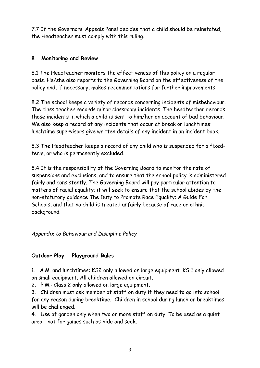7.7 If the Governors' Appeals Panel decides that a child should be reinstated, the Headteacher must comply with this ruling.

# **8. Monitoring and Review**

8.1 The Headteacher monitors the effectiveness of this policy on a regular basis. He/she also reports to the Governing Board on the effectiveness of the policy and, if necessary, makes recommendations for further improvements.

8.2 The school keeps a variety of records concerning incidents of misbehaviour. The class teacher records minor classroom incidents. The headteacher records those incidents in which a child is sent to him/her on account of bad behaviour. We also keep a record of any incidents that occur at break or lunchtimes: lunchtime supervisors give written details of any incident in an incident book.

8.3 The Headteacher keeps a record of any child who is suspended for a fixedterm, or who is permanently excluded.

8.4 It is the responsibility of the Governing Board to monitor the rate of suspensions and exclusions, and to ensure that the school policy is administered fairly and consistently. The Governing Board will pay particular attention to matters of racial equality; it will seek to ensure that the school abides by the non-statutory guidance The Duty to Promote Race Equality: A Guide For Schools, and that no child is treated unfairly because of race or ethnic background.

# *Appendix to Behaviour and Discipline Policy*

# **Outdoor Play - Playground Rules**

1. A.M. and lunchtimes: KS2 only allowed on large equipment. KS 1 only allowed on small equipment. All children allowed on circuit.

2. P.M.: Class 2 only allowed on large equipment.

3. Children must ask member of staff on duty if they need to go into school for any reason during breaktime. Children in school during lunch or breaktimes will be challenged.

4. Use of garden only when two or more staff on duty. To be used as a quiet area - not for games such as hide and seek.